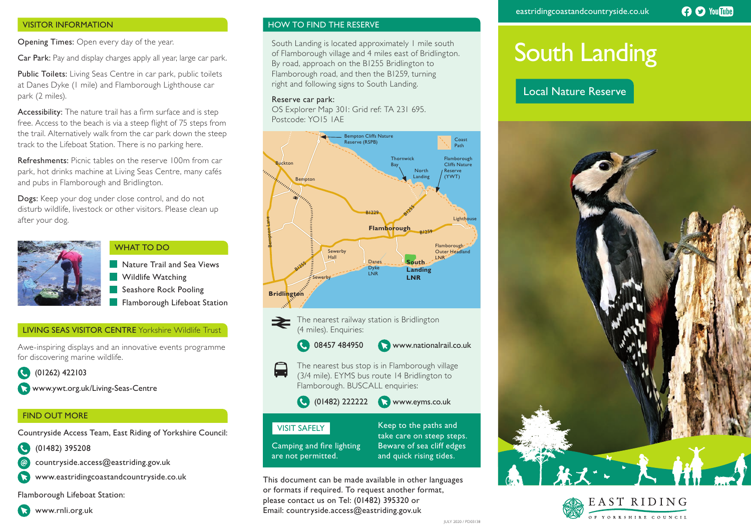# VISITOR INFORMATION

Opening Times: Open every day of the year.

Car Park: Pay and display charges apply all year, large car park.

Public Toilets: Living Seas Centre in car park, public toilets at Danes Dyke (1 mile) and Flamborough Lighthouse car park (2 miles).

Accessibility: The nature trail has a firm surface and is step free. Access to the beach is via a steep flight of 75 steps from the trail. Alternatively walk from the car park down the steep track to the Lifeboat Station. There is no parking here.

Refreshments: Picnic tables on the reserve 100m from car park, hot drinks machine at Living Seas Centre, many cafés and pubs in Flamborough and Bridlington.

Dogs: Keep your dog under close control, and do not disturb wildlife, livestock or other visitors. Please clean up after your dog.



### WHAT TO DO

 Nature Trail and Sea Views Wildlife Watching Seashore Rock Pooling Flamborough Lifeboat Station

# LIVING SEAS VISITOR CENTRE Yorkshire Wildlife Trust

Awe-inspiring displays and an innovative events programme for discovering marine wildlife.

 (01262) 422103 **a** www.ywt.org.uk/Living-Seas-Centre

# FIND OUT MORE

Countryside Access Team, East Riding of Yorkshire Council:

- (01482) 395208
- countryside.access@eastriding.gov.uk
- www.eastridingcoastandcountryside.co.uk

Flamborough Lifeboat Station:

# HOW TO FIND THE RESERVE

South Landing is located approximately 1 mile south of Flamborough village and 4 miles east of Bridlington. By road, approach on the B1255 Bridlington to Flamborough road, and then the B1259, turning right and following signs to South Landing.

## Reserve car park:

OS Explorer Map 301: Grid ref: TA 231 695. Postcode: YO15 1AE



The nearest railway station is Bridlington (4 miles). Enquiries:

- **48457 484950 Www.nationalrail.co.uk**
- $\Box$ The nearest bus stop is in Flamborough village (3/4 mile). EYMS bus route 14 Bridlington to Flamborough. BUSCALL enquiries:

(01482) 222222 www.eyms.co.uk

# VISIT SAFELY

Camping and fire lighting are not permitted.

Keep to the paths and take care on steep steps. Beware of sea cliff edges and quick rising tides.

This document can be made available in other languages or formats if required. To request another format, please contact us on Tel: (01482) 395320 or Email: countryside.access@eastriding.gov.uk

# South Landing

# Local Nature Reserve